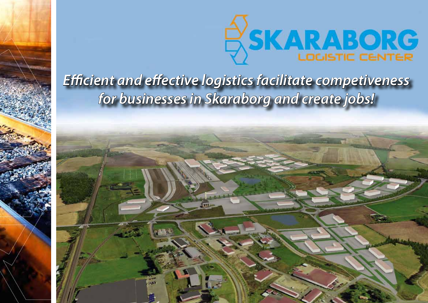

## *Efficient and effective logistics facilitate competiveness for businesses in Skaraborg and create jobs!*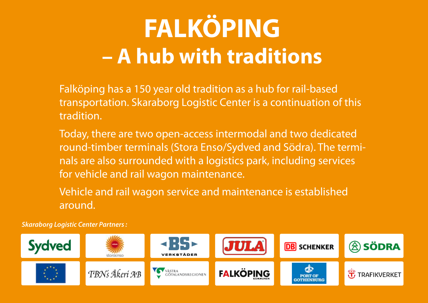## **FALKÖPING – A hub with traditions**

Falköping has a 150 year old tradition as a hub for rail-based transportation. Skaraborg Logistic Center is a continuation of this tradition.

Today, there are two open-access intermodal and two dedicated round-timber terminals (Stora Enso/Sydved and Södra). The terminals are also surrounded with a logistics park, including services for vehicle and rail wagon maintenance.

Vehicle and rail wagon service and maintenance is established around.

*Skaraborg Logistic Center Partners :*

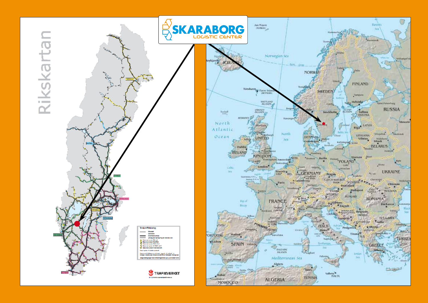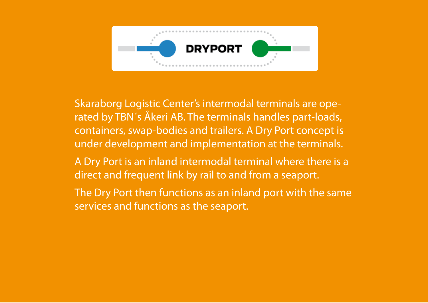

Skaraborg Logistic Center's intermodal terminals are operated by TBN´s Åkeri AB. The terminals handles part-loads, containers, swap-bodies and trailers. A Dry Port concept is under development and implementation at the terminals.

- A Dry Port is an inland intermodal terminal where there is a direct and frequent link by rail to and from a seaport.
- The Dry Port then functions as an inland port with the same services and functions as the seaport.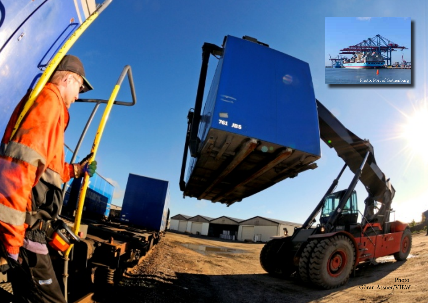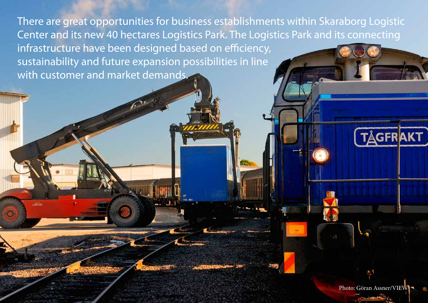There are great opportunities for business establishments within Skaraborg Logistic Center and its new 40 hectares Logistics Park. The Logistics Park and its connecting infrastructure have been designed based on efficiency, sustainability and future expansion possibilities in line with customer and market demands.

Photo: Göran Assner/VIEW

**TÅGFRAKT**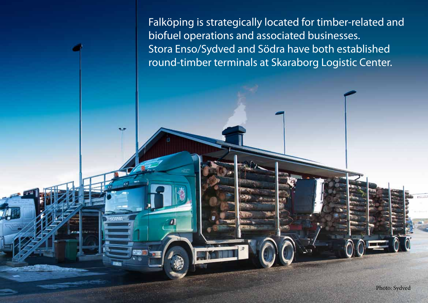Falköping is strategically located for timber-related and biofuel operations and associated businesses. Stora Enso/Sydved and Södra have both established round-timber terminals at Skaraborg Logistic Center.

÷